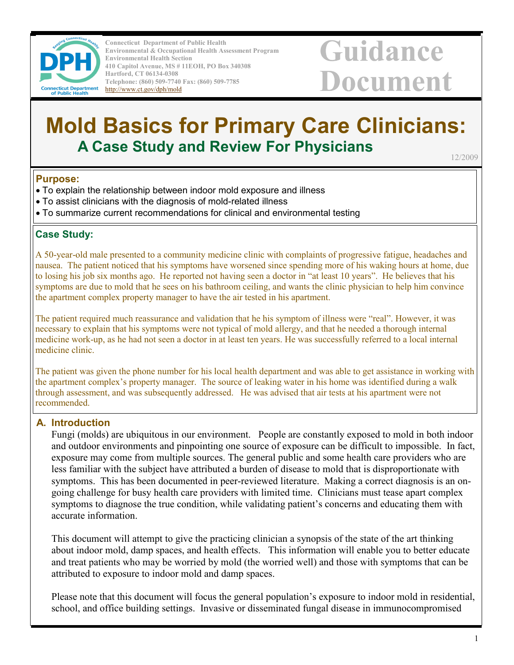

Connecticut Department of Public Health Environmental & Occupational Health Assessment Program Environmental Health Section 410 Capitol Avenue, MS # 11EOH, PO Box 340308 Hartford, CT 06134-0308 Telephone: (860) 509-7740 Fax: (860) 509-7785 http://www.ct.gov/dph/mold

# Guidance Document

# Mold Basics for Primary Care Clinicians: A Case Study and Review For Physicians 12/2009

#### Purpose:

- To explain the relationship between indoor mold exposure and illness
- To assist clinicians with the diagnosis of mold-related illness
- To summarize current recommendations for clinical and environmental testing

#### Case Study:

A 50-year-old male presented to a community medicine clinic with complaints of progressive fatigue, headaches and nausea. The patient noticed that his symptoms have worsened since spending more of his waking hours at home, due to losing his job six months ago. He reported not having seen a doctor in "at least 10 years". He believes that his symptoms are due to mold that he sees on his bathroom ceiling, and wants the clinic physician to help him convince the apartment complex property manager to have the air tested in his apartment.

The patient required much reassurance and validation that he his symptom of illness were "real". However, it was necessary to explain that his symptoms were not typical of mold allergy, and that he needed a thorough internal medicine work-up, as he had not seen a doctor in at least ten years. He was successfully referred to a local internal medicine clinic.

The patient was given the phone number for his local health department and was able to get assistance in working with the apartment complex's property manager. The source of leaking water in his home was identified during a walk through assessment, and was subsequently addressed. He was advised that air tests at his apartment were not recommended.

#### A. Introduction

Fungi (molds) are ubiquitous in our environment. People are constantly exposed to mold in both indoor and outdoor environments and pinpointing one source of exposure can be difficult to impossible. In fact, exposure may come from multiple sources. The general public and some health care providers who are less familiar with the subject have attributed a burden of disease to mold that is disproportionate with symptoms. This has been documented in peer-reviewed literature. Making a correct diagnosis is an ongoing challenge for busy health care providers with limited time. Clinicians must tease apart complex symptoms to diagnose the true condition, while validating patient's concerns and educating them with accurate information.

This document will attempt to give the practicing clinician a synopsis of the state of the art thinking about indoor mold, damp spaces, and health effects. This information will enable you to better educate and treat patients who may be worried by mold (the worried well) and those with symptoms that can be attributed to exposure to indoor mold and damp spaces.

Please note that this document will focus the general population's exposure to indoor mold in residential, school, and office building settings. Invasive or disseminated fungal disease in immunocompromised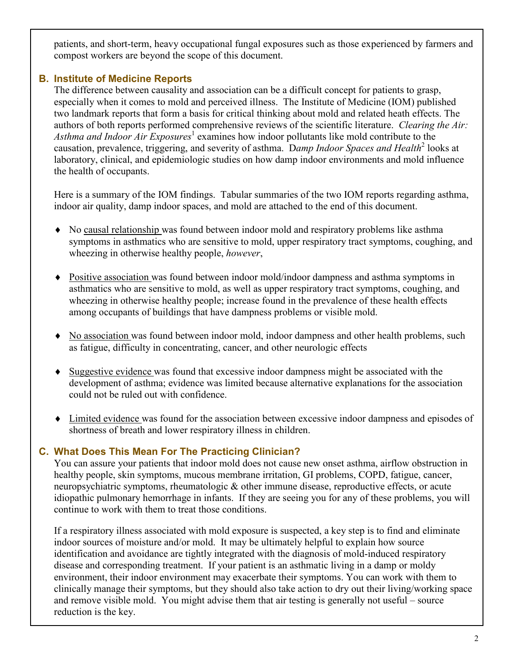patients, and short-term, heavy occupational fungal exposures such as those experienced by farmers and compost workers are beyond the scope of this document.

## B. Institute of Medicine Reports

The difference between causality and association can be a difficult concept for patients to grasp, especially when it comes to mold and perceived illness. The Institute of Medicine (IOM) published two landmark reports that form a basis for critical thinking about mold and related heath effects. The authors of both reports performed comprehensive reviews of the scientific literature. Clearing the Air: Asthma and Indoor Air Exposures<sup>1</sup> examines how indoor pollutants like mold contribute to the causation, prevalence, triggering, and severity of asthma. Damp Indoor Spaces and Health<sup>2</sup> looks at laboratory, clinical, and epidemiologic studies on how damp indoor environments and mold influence the health of occupants.

Here is a summary of the IOM findings. Tabular summaries of the two IOM reports regarding asthma, indoor air quality, damp indoor spaces, and mold are attached to the end of this document.

- ♦ No causal relationship was found between indoor mold and respiratory problems like asthma symptoms in asthmatics who are sensitive to mold, upper respiratory tract symptoms, coughing, and wheezing in otherwise healthy people, however,
- ♦ Positive association was found between indoor mold/indoor dampness and asthma symptoms in asthmatics who are sensitive to mold, as well as upper respiratory tract symptoms, coughing, and wheezing in otherwise healthy people; increase found in the prevalence of these health effects among occupants of buildings that have dampness problems or visible mold.
- ♦ No association was found between indoor mold, indoor dampness and other health problems, such as fatigue, difficulty in concentrating, cancer, and other neurologic effects
- ♦ Suggestive evidence was found that excessive indoor dampness might be associated with the development of asthma; evidence was limited because alternative explanations for the association could not be ruled out with confidence.
- ♦ Limited evidence was found for the association between excessive indoor dampness and episodes of shortness of breath and lower respiratory illness in children.

#### C. What Does This Mean For The Practicing Clinician?

You can assure your patients that indoor mold does not cause new onset asthma, airflow obstruction in healthy people, skin symptoms, mucous membrane irritation, GI problems, COPD, fatigue, cancer, neuropsychiatric symptoms, rheumatologic & other immune disease, reproductive effects, or acute idiopathic pulmonary hemorrhage in infants. If they are seeing you for any of these problems, you will continue to work with them to treat those conditions.

If a respiratory illness associated with mold exposure is suspected, a key step is to find and eliminate indoor sources of moisture and/or mold. It may be ultimately helpful to explain how source identification and avoidance are tightly integrated with the diagnosis of mold-induced respiratory disease and corresponding treatment. If your patient is an asthmatic living in a damp or moldy environment, their indoor environment may exacerbate their symptoms. You can work with them to clinically manage their symptoms, but they should also take action to dry out their living/working space and remove visible mold. You might advise them that air testing is generally not useful – source reduction is the key.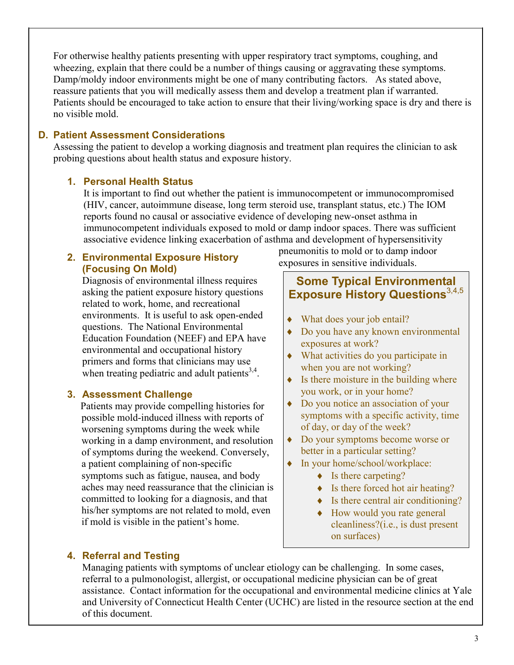For otherwise healthy patients presenting with upper respiratory tract symptoms, coughing, and wheezing, explain that there could be a number of things causing or aggravating these symptoms. Damp/moldy indoor environments might be one of many contributing factors. As stated above, reassure patients that you will medically assess them and develop a treatment plan if warranted. Patients should be encouraged to take action to ensure that their living/working space is dry and there is no visible mold.

#### D. Patient Assessment Considerations

Assessing the patient to develop a working diagnosis and treatment plan requires the clinician to ask probing questions about health status and exposure history.

#### 1. Personal Health Status

It is important to find out whether the patient is immunocompetent or immunocompromised (HIV, cancer, autoimmune disease, long term steroid use, transplant status, etc.) The IOM reports found no causal or associative evidence of developing new-onset asthma in immunocompetent individuals exposed to mold or damp indoor spaces. There was sufficient associative evidence linking exacerbation of asthma and development of hypersensitivity

#### 2. Environmental Exposure History (Focusing On Mold)

Diagnosis of environmental illness requires asking the patient exposure history questions related to work, home, and recreational environments. It is useful to ask open-ended questions. The National Environmental Education Foundation (NEEF) and EPA have environmental and occupational history primers and forms that clinicians may use when treating pediatric and adult patients $3,4$ .

#### 3. Assessment Challenge

Patients may provide compelling histories for possible mold-induced illness with reports of worsening symptoms during the week while working in a damp environment, and resolution of symptoms during the weekend. Conversely, a patient complaining of non-specific symptoms such as fatigue, nausea, and body aches may need reassurance that the clinician is committed to looking for a diagnosis, and that his/her symptoms are not related to mold, even if mold is visible in the patient's home.

pneumonitis to mold or to damp indoor exposures in sensitive individuals.

# Some Typical Environmental Exposure History Questions<sup>3,4,5</sup>

- ♦ What does your job entail?
- ♦ Do you have any known environmental exposures at work?
- ♦ What activities do you participate in when you are not working?
- $\bullet$  Is there moisture in the building where you work, or in your home?
- ♦ Do you notice an association of your symptoms with a specific activity, time of day, or day of the week?
- ♦ Do your symptoms become worse or better in a particular setting?
- ♦ In your home/school/workplace:
	- $\bullet$  Is there carpeting?
	- $\bullet$  Is there forced hot air heating?
	- $\bullet$  Is there central air conditioning?
	- ♦ How would you rate general cleanliness?(i.e., is dust present on surfaces)

#### 4. Referral and Testing

Managing patients with symptoms of unclear etiology can be challenging. In some cases, referral to a pulmonologist, allergist, or occupational medicine physician can be of great assistance. Contact information for the occupational and environmental medicine clinics at Yale and University of Connecticut Health Center (UCHC) are listed in the resource section at the end of this document.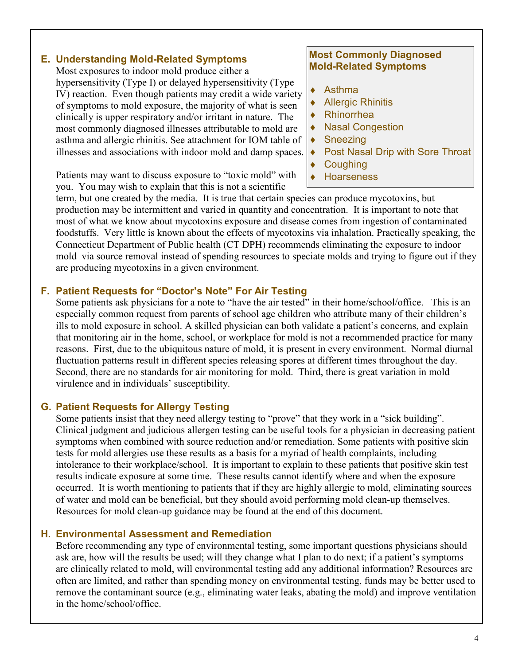#### E. Understanding Mold-Related Symptoms

Most exposures to indoor mold produce either a hypersensitivity (Type I) or delayed hypersensitivity (Type IV) reaction. Even though patients may credit a wide variety of symptoms to mold exposure, the majority of what is seen clinically is upper respiratory and/or irritant in nature. The most commonly diagnosed illnesses attributable to mold are asthma and allergic rhinitis. See attachment for IOM table of illnesses and associations with indoor mold and damp spaces.

Patients may want to discuss exposure to "toxic mold" with you. You may wish to explain that this is not a scientific

#### Most Commonly Diagnosed Mold-Related Symptoms

- ♦ Asthma
- ♦ Allergic Rhinitis
- **Rhinorrhea**
- ♦ Nasal Congestion
- Sneezing
- ♦ Post Nasal Drip with Sore Throat
- ♦ Coughing
- **Hoarseness**

term, but one created by the media. It is true that certain species can produce mycotoxins, but production may be intermittent and varied in quantity and concentration. It is important to note that most of what we know about mycotoxins exposure and disease comes from ingestion of contaminated foodstuffs. Very little is known about the effects of mycotoxins via inhalation. Practically speaking, the Connecticut Department of Public health (CT DPH) recommends eliminating the exposure to indoor mold via source removal instead of spending resources to speciate molds and trying to figure out if they are producing mycotoxins in a given environment.

#### F. Patient Requests for "Doctor's Note" For Air Testing

Some patients ask physicians for a note to "have the air tested" in their home/school/office. This is an especially common request from parents of school age children who attribute many of their children's ills to mold exposure in school. A skilled physician can both validate a patient's concerns, and explain that monitoring air in the home, school, or workplace for mold is not a recommended practice for many reasons. First, due to the ubiquitous nature of mold, it is present in every environment. Normal diurnal fluctuation patterns result in different species releasing spores at different times throughout the day. Second, there are no standards for air monitoring for mold. Third, there is great variation in mold virulence and in individuals' susceptibility.

#### G. Patient Requests for Allergy Testing

Some patients insist that they need allergy testing to "prove" that they work in a "sick building". Clinical judgment and judicious allergen testing can be useful tools for a physician in decreasing patient symptoms when combined with source reduction and/or remediation. Some patients with positive skin tests for mold allergies use these results as a basis for a myriad of health complaints, including intolerance to their workplace/school. It is important to explain to these patients that positive skin test results indicate exposure at some time. These results cannot identify where and when the exposure occurred. It is worth mentioning to patients that if they are highly allergic to mold, eliminating sources of water and mold can be beneficial, but they should avoid performing mold clean-up themselves. Resources for mold clean-up guidance may be found at the end of this document.

#### H. Environmental Assessment and Remediation

Before recommending any type of environmental testing, some important questions physicians should ask are, how will the results be used; will they change what I plan to do next; if a patient's symptoms are clinically related to mold, will environmental testing add any additional information? Resources are often are limited, and rather than spending money on environmental testing, funds may be better used to remove the contaminant source (e.g., eliminating water leaks, abating the mold) and improve ventilation in the home/school/office.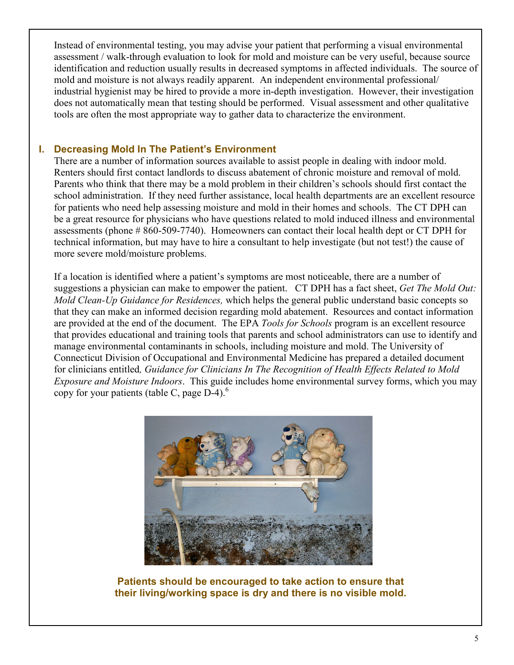Instead of environmental testing, you may advise your patient that performing a visual environmental assessment / walk-through evaluation to look for mold and moisture can be very useful, because source identification and reduction usually results in decreased symptoms in affected individuals. The source of mold and moisture is not always readily apparent. An independent environmental professional/ industrial hygienist may be hired to provide a more in-depth investigation. However, their investigation does not automatically mean that testing should be performed. Visual assessment and other qualitative tools are often the most appropriate way to gather data to characterize the environment.

#### I. Decreasing Mold In The Patient's Environment

There are a number of information sources available to assist people in dealing with indoor mold. Renters should first contact landlords to discuss abatement of chronic moisture and removal of mold. Parents who think that there may be a mold problem in their children's schools should first contact the school administration. If they need further assistance, local health departments are an excellent resource for patients who need help assessing moisture and mold in their homes and schools. The CT DPH can be a great resource for physicians who have questions related to mold induced illness and environmental assessments (phone # 860-509-7740). Homeowners can contact their local health dept or CT DPH for technical information, but may have to hire a consultant to help investigate (but not test!) the cause of more severe mold/moisture problems.

If a location is identified where a patient's symptoms are most noticeable, there are a number of suggestions a physician can make to empower the patient. CT DPH has a fact sheet, Get The Mold Out: Mold Clean-Up Guidance for Residences, which helps the general public understand basic concepts so that they can make an informed decision regarding mold abatement. Resources and contact information are provided at the end of the document. The EPA Tools for Schools program is an excellent resource that provides educational and training tools that parents and school administrators can use to identify and manage environmental contaminants in schools, including moisture and mold. The University of Connecticut Division of Occupational and Environmental Medicine has prepared a detailed document for clinicians entitled, Guidance for Clinicians In The Recognition of Health Effects Related to Mold Exposure and Moisture Indoors. This guide includes home environmental survey forms, which you may copy for your patients (table C, page  $D-4$ ).<sup>6</sup>



Patients should be encouraged to take action to ensure that their living/working space is dry and there is no visible mold.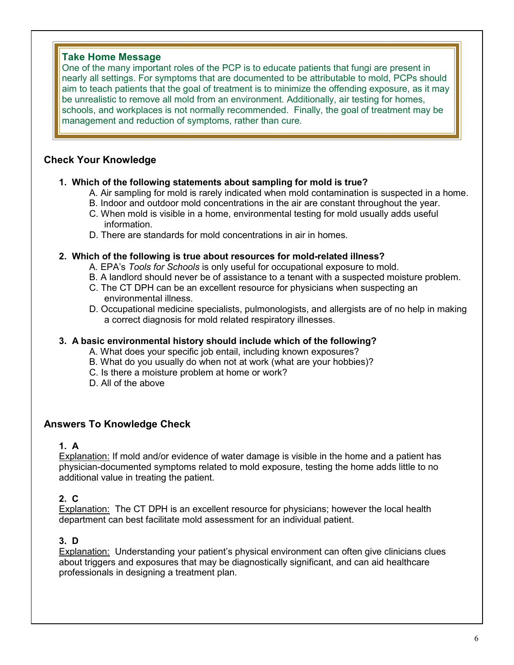#### Take Home Message

One of the many important roles of the PCP is to educate patients that fungi are present in nearly all settings. For symptoms that are documented to be attributable to mold, PCPs should aim to teach patients that the goal of treatment is to minimize the offending exposure, as it may be unrealistic to remove all mold from an environment. Additionally, air testing for homes, schools, and workplaces is not normally recommended. Finally, the goal of treatment may be management and reduction of symptoms, rather than cure.

#### Check Your Knowledge

#### 1. Which of the following statements about sampling for mold is true?

- A. Air sampling for mold is rarely indicated when mold contamination is suspected in a home.
- B. Indoor and outdoor mold concentrations in the air are constant throughout the year.
- C. When mold is visible in a home, environmental testing for mold usually adds useful information.
- D. There are standards for mold concentrations in air in homes.

#### 2. Which of the following is true about resources for mold-related illness?

- A. EPA's Tools for Schools is only useful for occupational exposure to mold.
- B. A landlord should never be of assistance to a tenant with a suspected moisture problem.
- C. The CT DPH can be an excellent resource for physicians when suspecting an environmental illness.
- D. Occupational medicine specialists, pulmonologists, and allergists are of no help in making a correct diagnosis for mold related respiratory illnesses.

#### 3. A basic environmental history should include which of the following?

- A. What does your specific job entail, including known exposures?
- B. What do you usually do when not at work (what are your hobbies)?
- C. Is there a moisture problem at home or work?
- D. All of the above

#### Answers To Knowledge Check

#### 1. A

Explanation: If mold and/or evidence of water damage is visible in the home and a patient has physician-documented symptoms related to mold exposure, testing the home adds little to no additional value in treating the patient.

#### 2. C

Explanation: The CT DPH is an excellent resource for physicians; however the local health department can best facilitate mold assessment for an individual patient.

#### 3. D

Explanation: Understanding your patient's physical environment can often give clinicians clues about triggers and exposures that may be diagnostically significant, and can aid healthcare professionals in designing a treatment plan.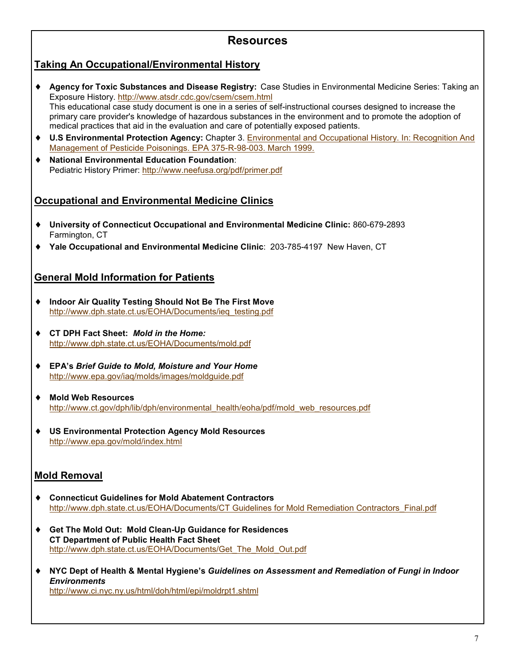# Resources

## Taking An Occupational/Environmental History

- ♦ Agency for Toxic Substances and Disease Registry: Case Studies in Environmental Medicine Series: Taking an Exposure History. http://www.atsdr.cdc.gov/csem/csem.html This educational case study document is one in a series of self-instructional courses designed to increase the primary care provider's knowledge of hazardous substances in the environment and to promote the adoption of medical practices that aid in the evaluation and care of potentially exposed patients.
- ♦ U.S Environmental Protection Agency: Chapter 3. Environmental and Occupational History. In: Recognition And Management of Pesticide Poisonings. EPA 375-R-98-003. March 1999.
- ♦ National Environmental Education Foundation: Pediatric History Primer: http://www.neefusa.org/pdf/primer.pdf

#### **Occupational and Environmental Medicine Clinics**

- ♦ University of Connecticut Occupational and Environmental Medicine Clinic: 860-679-2893 Farmington, CT
- ♦ Yale Occupational and Environmental Medicine Clinic: 203-785-4197 New Haven, CT

#### General Mold Information for Patients

- ♦ Indoor Air Quality Testing Should Not Be The First Move http://www.dph.state.ct.us/EOHA/Documents/ieq\_testing.pdf
- ♦ CT DPH Fact Sheet: Mold in the Home: http://www.dph.state.ct.us/EOHA/Documents/mold.pdf
- ♦ EPA's Brief Guide to Mold, Moisture and Your Home http://www.epa.gov/iaq/molds/images/moldguide.pdf
- ♦ Mold Web Resources http://www.ct.gov/dph/lib/dph/environmental\_health/eoha/pdf/mold\_web\_resources.pdf
- ♦ US Environmental Protection Agency Mold Resources http://www.epa.gov/mold/index.html

#### Mold Removal

- ♦ Connecticut Guidelines for Mold Abatement Contractors http://www.dph.state.ct.us/EOHA/Documents/CT Guidelines for Mold Remediation Contractors\_Final.pdf
- ♦ Get The Mold Out: Mold Clean-Up Guidance for Residences CT Department of Public Health Fact Sheet http://www.dph.state.ct.us/EOHA/Documents/Get\_The\_Mold\_Out.pdf
- ♦ NYC Dept of Health & Mental Hygiene's Guidelines on Assessment and Remediation of Fungi in Indoor **Environments** http://www.ci.nyc.ny.us/html/doh/html/epi/moldrpt1.shtml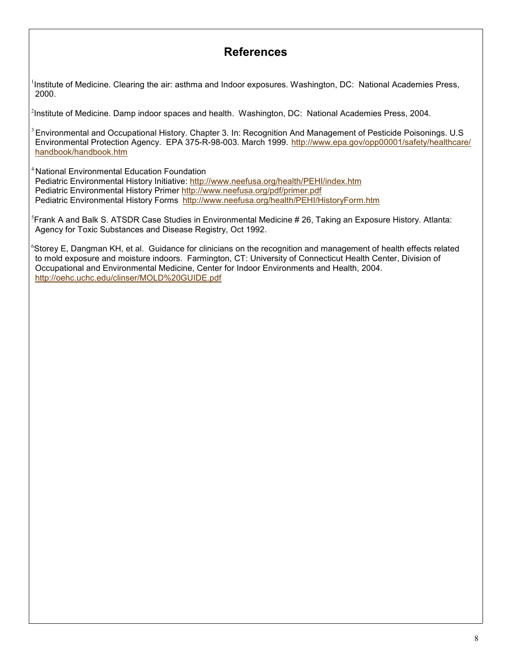# References

<sup>1</sup>Institute of Medicine. Clearing the air: asthma and Indoor exposures. Washington, DC: National Academies Press, 2000.

<sup>2</sup>Institute of Medicine. Damp indoor spaces and health. Washington, DC: National Academies Press, 2004.

<sup>3</sup>Environmental and Occupational History. Chapter 3. In: Recognition And Management of Pesticide Poisonings. U.S Environmental Protection Agency. EPA 375-R-98-003. March 1999. http://www.epa.gov/opp00001/safety/healthcare/ handbook/handbook.htm

<sup>4</sup> National Environmental Education Foundation

Pediatric Environmental History Initiative: http://www.neefusa.org/health/PEHI/index.htm Pediatric Environmental History Primer http://www.neefusa.org/pdf/primer.pdf Pediatric Environmental History Forms http://www.neefusa.org/health/PEHI/HistoryForm.htm

<sup>5</sup>Frank A and Balk S. ATSDR Case Studies in Environmental Medicine # 26, Taking an Exposure History. Atlanta: Agency for Toxic Substances and Disease Registry, Oct 1992.

 $6$ Storey E, Dangman KH, et al. Guidance for clinicians on the recognition and management of health effects related to mold exposure and moisture indoors. Farmington, CT: University of Connecticut Health Center, Division of Occupational and Environmental Medicine, Center for Indoor Environments and Health, 2004. http://oehc.uchc.edu/clinser/MOLD%20GUIDE.pdf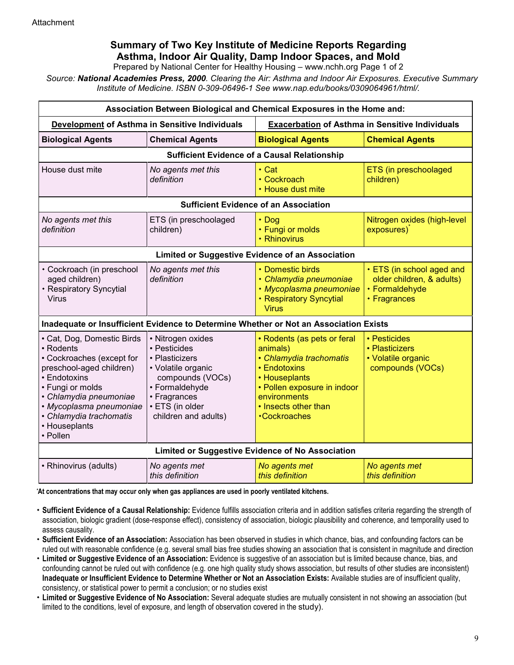# Summary of Two Key Institute of Medicine Reports Regarding Asthma, Indoor Air Quality, Damp Indoor Spaces, and Mold

Prepared by National Center for Healthy Housing – www.nchh.org Page 1 of 2

Source: National Academies Press, 2000. Clearing the Air: Asthma and Indoor Air Exposures. Executive Summary Institute of Medicine. ISBN 0-309-06496-1 See www.nap.edu/books/0309064961/html/.

| Association Between Biological and Chemical Exposures in the Home and:                                                                                                                                                                            |                                                                                                                                                                            |                                                                                                                                                                                                  |                                                                                          |
|---------------------------------------------------------------------------------------------------------------------------------------------------------------------------------------------------------------------------------------------------|----------------------------------------------------------------------------------------------------------------------------------------------------------------------------|--------------------------------------------------------------------------------------------------------------------------------------------------------------------------------------------------|------------------------------------------------------------------------------------------|
| Development of Asthma in Sensitive Individuals                                                                                                                                                                                                    |                                                                                                                                                                            | <b>Exacerbation of Asthma in Sensitive Individuals</b>                                                                                                                                           |                                                                                          |
| <b>Biological Agents</b>                                                                                                                                                                                                                          | <b>Chemical Agents</b>                                                                                                                                                     | <b>Biological Agents</b>                                                                                                                                                                         | <b>Chemical Agents</b>                                                                   |
| <b>Sufficient Evidence of a Causal Relationship</b>                                                                                                                                                                                               |                                                                                                                                                                            |                                                                                                                                                                                                  |                                                                                          |
| House dust mite                                                                                                                                                                                                                                   | No agents met this<br>definition                                                                                                                                           | $\cdot$ Cat<br>• Cockroach<br>• House dust mite                                                                                                                                                  | ETS (in preschoolaged<br>children)                                                       |
| <b>Sufficient Evidence of an Association</b>                                                                                                                                                                                                      |                                                                                                                                                                            |                                                                                                                                                                                                  |                                                                                          |
| No agents met this<br>definition                                                                                                                                                                                                                  | ETS (in preschoolaged<br>children)                                                                                                                                         | $\cdot$ Dog<br>• Fungi or molds<br>• Rhinovirus                                                                                                                                                  | Nitrogen oxides (high-level<br>exposures)                                                |
| Limited or Suggestive Evidence of an Association                                                                                                                                                                                                  |                                                                                                                                                                            |                                                                                                                                                                                                  |                                                                                          |
| • Cockroach (in preschool<br>aged children)<br>• Respiratory Syncytial<br>Virus                                                                                                                                                                   | No agents met this<br>definition                                                                                                                                           | • Domestic birds<br>· Chlamydia pneumoniae<br>• Mycoplasma pneumoniae<br>• Respiratory Syncytial<br><b>Virus</b>                                                                                 | • ETS (in school aged and<br>older children, & adults)<br>• Formaldehyde<br>• Fragrances |
| Inadequate or Insufficient Evidence to Determine Whether or Not an Association Exists                                                                                                                                                             |                                                                                                                                                                            |                                                                                                                                                                                                  |                                                                                          |
| · Cat, Dog, Domestic Birds<br>• Rodents<br>• Cockroaches (except for<br>preschool-aged children)<br>• Endotoxins<br>• Fungi or molds<br>· Chlamydia pneumoniae<br>• Mycoplasma pneumoniae<br>• Chlamydia trachomatis<br>• Houseplants<br>• Pollen | • Nitrogen oxides<br>• Pesticides<br>• Plasticizers<br>• Volatile organic<br>compounds (VOCs)<br>• Formaldehyde<br>• Fragrances<br>· ETS (in older<br>children and adults) | • Rodents (as pets or feral<br>animals)<br>• Chlamydia trachomatis<br>• Endotoxins<br>• Houseplants<br>• Pollen exposure in indoor<br>environments<br>• Insects other than<br><b>Cockroaches</b> | • Pesticides<br>• Plasticizers<br>• Volatile organic<br>compounds (VOCs)                 |
| Limited or Suggestive Evidence of No Association                                                                                                                                                                                                  |                                                                                                                                                                            |                                                                                                                                                                                                  |                                                                                          |
| • Rhinovirus (adults)                                                                                                                                                                                                                             | No agents met<br>this definition                                                                                                                                           | No agents met<br>this definition                                                                                                                                                                 | No agents met<br>this definition                                                         |

\*At concentrations that may occur only when gas appliances are used in poorly ventilated kitchens.

- Sufficient Evidence of a Causal Relationship: Evidence fulfills association criteria and in addition satisfies criteria regarding the strength of association, biologic gradient (dose-response effect), consistency of association, biologic plausibility and coherence, and temporality used to assess causality.
- Sufficient Evidence of an Association: Association has been observed in studies in which chance, bias, and confounding factors can be ruled out with reasonable confidence (e.g. several small bias free studies showing an association that is consistent in magnitude and direction
- Limited or Suggestive Evidence of an Association: Evidence is suggestive of an association but is limited because chance, bias, and confounding cannot be ruled out with confidence (e.g. one high quality study shows association, but results of other studies are inconsistent) Inadequate or Insufficient Evidence to Determine Whether or Not an Association Exists: Available studies are of insufficient quality, consistency, or statistical power to permit a conclusion; or no studies exist
- Limited or Suggestive Evidence of No Association: Several adequate studies are mutually consistent in not showing an association (but limited to the conditions, level of exposure, and length of observation covered in the study).